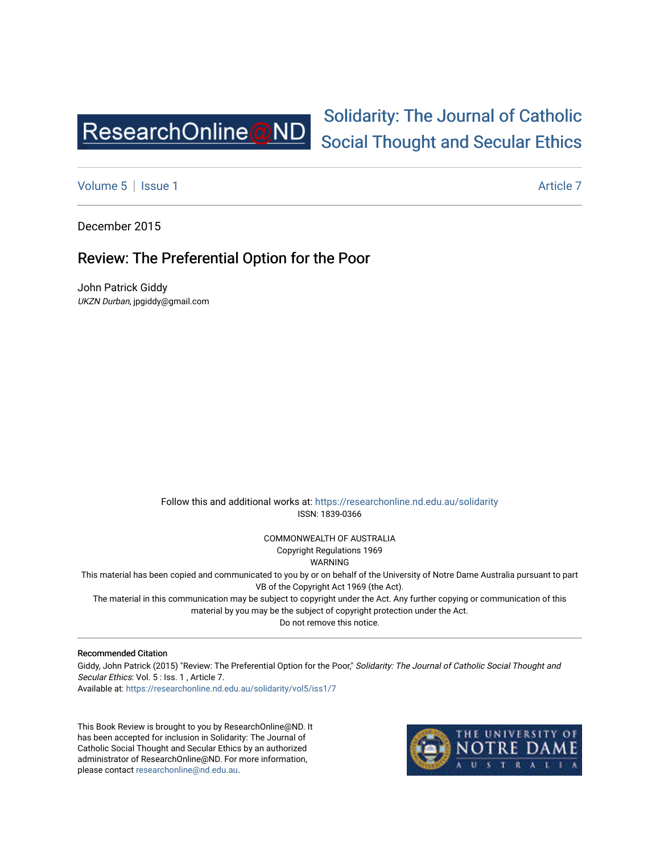

## [Solidarity: The Journal of Catholic](https://researchonline.nd.edu.au/solidarity)  [Social Thought and Secular Ethics](https://researchonline.nd.edu.au/solidarity)

[Volume 5](https://researchonline.nd.edu.au/solidarity/vol5) | [Issue 1](https://researchonline.nd.edu.au/solidarity/vol5/iss1) Article 7

December 2015

## Review: The Preferential Option for the Poor

John Patrick Giddy UKZN Durban, jpgiddy@gmail.com

> Follow this and additional works at: [https://researchonline.nd.edu.au/solidarity](https://researchonline.nd.edu.au/solidarity?utm_source=researchonline.nd.edu.au%2Fsolidarity%2Fvol5%2Fiss1%2F7&utm_medium=PDF&utm_campaign=PDFCoverPages)  ISSN: 1839-0366

> > COMMONWEALTH OF AUSTRALIA Copyright Regulations 1969

WARNING

This material has been copied and communicated to you by or on behalf of the University of Notre Dame Australia pursuant to part VB of the Copyright Act 1969 (the Act).

The material in this communication may be subject to copyright under the Act. Any further copying or communication of this material by you may be the subject of copyright protection under the Act.

Do not remove this notice.

## Recommended Citation

Giddy, John Patrick (2015) "Review: The Preferential Option for the Poor," Solidarity: The Journal of Catholic Social Thought and Secular Ethics: Vol. 5 : Iss. 1, Article 7. Available at: [https://researchonline.nd.edu.au/solidarity/vol5/iss1/7](https://researchonline.nd.edu.au/solidarity/vol5/iss1/7?utm_source=researchonline.nd.edu.au%2Fsolidarity%2Fvol5%2Fiss1%2F7&utm_medium=PDF&utm_campaign=PDFCoverPages) 

This Book Review is brought to you by ResearchOnline@ND. It has been accepted for inclusion in Solidarity: The Journal of Catholic Social Thought and Secular Ethics by an authorized administrator of ResearchOnline@ND. For more information, please contact [researchonline@nd.edu.au.](mailto:researchonline@nd.edu.au)

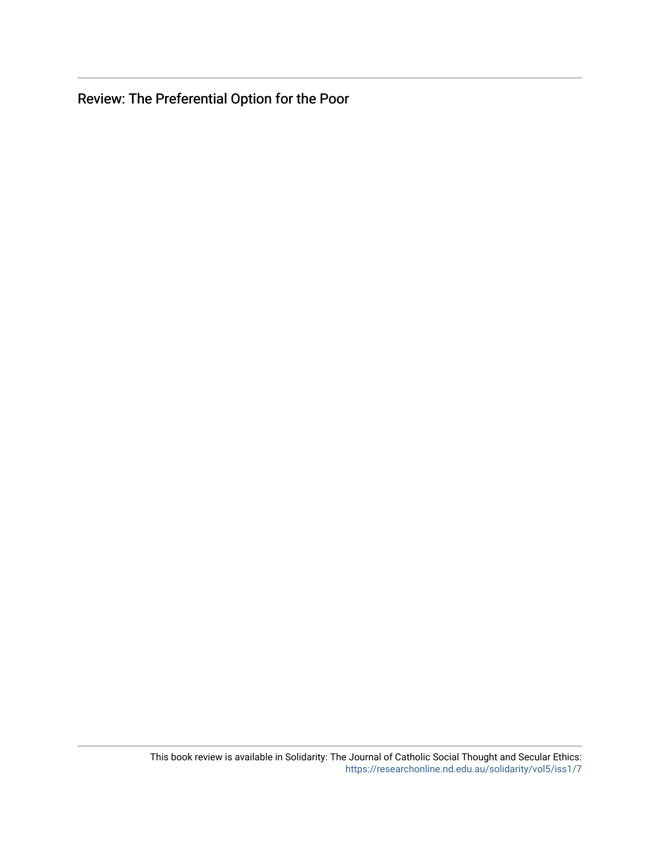Review: The Preferential Option for the Poor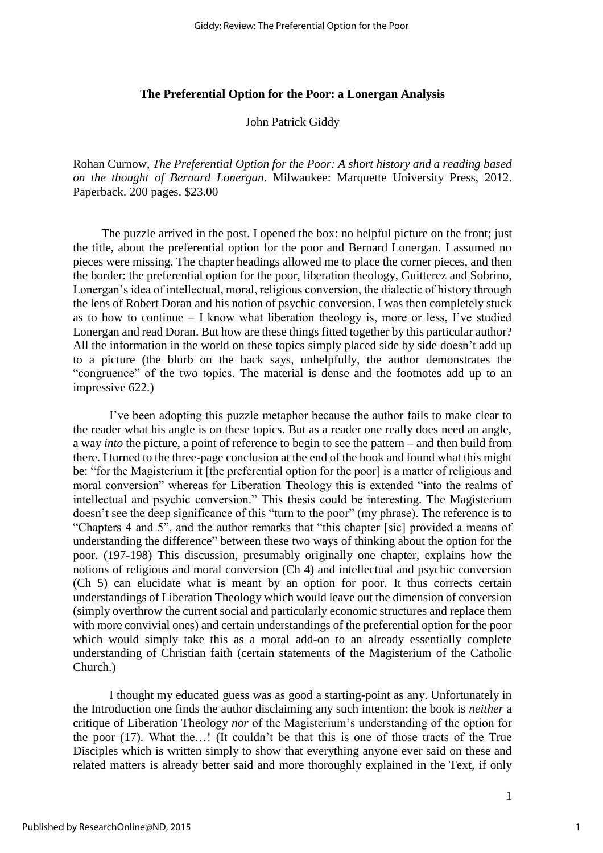## **The Preferential Option for the Poor: a Lonergan Analysis**

John Patrick Giddy

Rohan Curnow, *The Preferential Option for the Poor: A short history and a reading based on the thought of Bernard Lonergan*. Milwaukee: Marquette University Press, 2012. Paperback. 200 pages. \$23.00

The puzzle arrived in the post. I opened the box: no helpful picture on the front; just the title, about the preferential option for the poor and Bernard Lonergan. I assumed no pieces were missing. The chapter headings allowed me to place the corner pieces, and then the border: the preferential option for the poor, liberation theology, Guitterez and Sobrino, Lonergan's idea of intellectual, moral, religious conversion, the dialectic of history through the lens of Robert Doran and his notion of psychic conversion. I was then completely stuck as to how to continue – I know what liberation theology is, more or less, I've studied Lonergan and read Doran. But how are these things fitted together by this particular author? All the information in the world on these topics simply placed side by side doesn't add up to a picture (the blurb on the back says, unhelpfully, the author demonstrates the "congruence" of the two topics. The material is dense and the footnotes add up to an impressive 622.)

I've been adopting this puzzle metaphor because the author fails to make clear to the reader what his angle is on these topics. But as a reader one really does need an angle, a way *into* the picture, a point of reference to begin to see the pattern – and then build from there. I turned to the three-page conclusion at the end of the book and found what this might be: "for the Magisterium it [the preferential option for the poor] is a matter of religious and moral conversion" whereas for Liberation Theology this is extended "into the realms of intellectual and psychic conversion." This thesis could be interesting. The Magisterium doesn't see the deep significance of this "turn to the poor" (my phrase). The reference is to "Chapters 4 and 5", and the author remarks that "this chapter [sic] provided a means of understanding the difference" between these two ways of thinking about the option for the poor. (197-198) This discussion, presumably originally one chapter, explains how the notions of religious and moral conversion (Ch 4) and intellectual and psychic conversion (Ch 5) can elucidate what is meant by an option for poor. It thus corrects certain understandings of Liberation Theology which would leave out the dimension of conversion (simply overthrow the current social and particularly economic structures and replace them with more convivial ones) and certain understandings of the preferential option for the poor which would simply take this as a moral add-on to an already essentially complete understanding of Christian faith (certain statements of the Magisterium of the Catholic Church.)

I thought my educated guess was as good a starting-point as any. Unfortunately in the Introduction one finds the author disclaiming any such intention: the book is *neither* a critique of Liberation Theology *nor* of the Magisterium's understanding of the option for the poor (17). What the…! (It couldn't be that this is one of those tracts of the True Disciples which is written simply to show that everything anyone ever said on these and related matters is already better said and more thoroughly explained in the Text, if only

1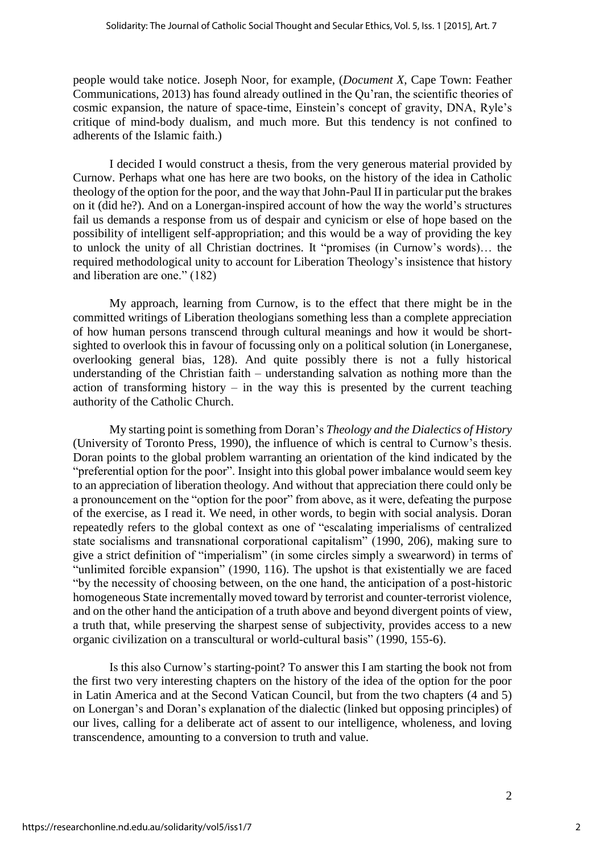people would take notice. Joseph Noor, for example, (*Document X*, Cape Town: Feather Communications, 2013) has found already outlined in the Qu'ran, the scientific theories of cosmic expansion, the nature of space-time, Einstein's concept of gravity, DNA, Ryle's critique of mind-body dualism, and much more. But this tendency is not confined to adherents of the Islamic faith.)

I decided I would construct a thesis, from the very generous material provided by Curnow. Perhaps what one has here are two books, on the history of the idea in Catholic theology of the option for the poor, and the way that John-Paul II in particular put the brakes on it (did he?). And on a Lonergan-inspired account of how the way the world's structures fail us demands a response from us of despair and cynicism or else of hope based on the possibility of intelligent self-appropriation; and this would be a way of providing the key to unlock the unity of all Christian doctrines. It "promises (in Curnow's words)… the required methodological unity to account for Liberation Theology's insistence that history and liberation are one." (182)

My approach, learning from Curnow, is to the effect that there might be in the committed writings of Liberation theologians something less than a complete appreciation of how human persons transcend through cultural meanings and how it would be shortsighted to overlook this in favour of focussing only on a political solution (in Lonerganese, overlooking general bias, 128). And quite possibly there is not a fully historical understanding of the Christian faith – understanding salvation as nothing more than the action of transforming history  $-$  in the way this is presented by the current teaching authority of the Catholic Church.

My starting point is something from Doran's *Theology and the Dialectics of History* (University of Toronto Press, 1990), the influence of which is central to Curnow's thesis. Doran points to the global problem warranting an orientation of the kind indicated by the "preferential option for the poor". Insight into this global power imbalance would seem key to an appreciation of liberation theology. And without that appreciation there could only be a pronouncement on the "option for the poor" from above, as it were, defeating the purpose of the exercise, as I read it. We need, in other words, to begin with social analysis. Doran repeatedly refers to the global context as one of "escalating imperialisms of centralized state socialisms and transnational corporational capitalism" (1990, 206), making sure to give a strict definition of "imperialism" (in some circles simply a swearword) in terms of "unlimited forcible expansion" (1990, 116). The upshot is that existentially we are faced "by the necessity of choosing between, on the one hand, the anticipation of a post-historic homogeneous State incrementally moved toward by terrorist and counter-terrorist violence, and on the other hand the anticipation of a truth above and beyond divergent points of view, a truth that, while preserving the sharpest sense of subjectivity, provides access to a new organic civilization on a transcultural or world-cultural basis" (1990, 155-6).

Is this also Curnow's starting-point? To answer this I am starting the book not from the first two very interesting chapters on the history of the idea of the option for the poor in Latin America and at the Second Vatican Council, but from the two chapters (4 and 5) on Lonergan's and Doran's explanation of the dialectic (linked but opposing principles) of our lives, calling for a deliberate act of assent to our intelligence, wholeness, and loving transcendence, amounting to a conversion to truth and value.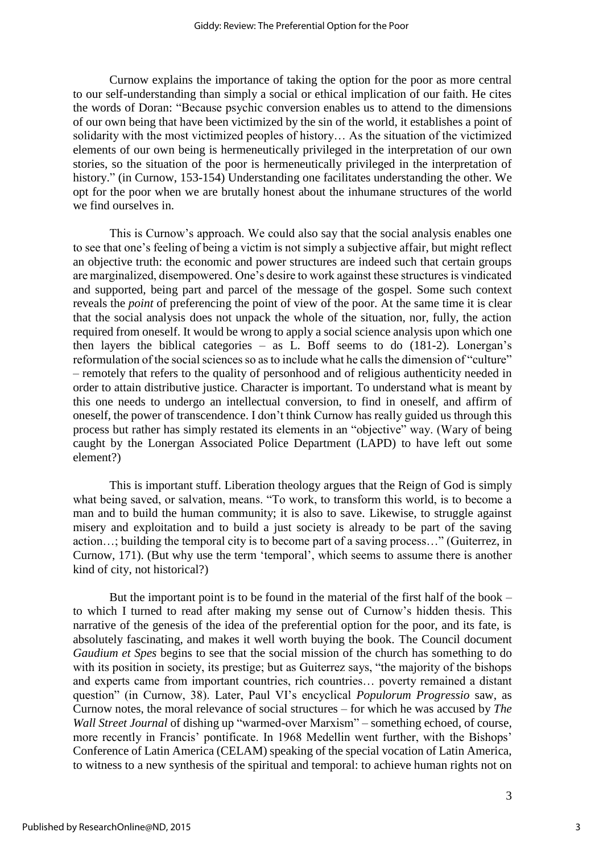Curnow explains the importance of taking the option for the poor as more central to our self-understanding than simply a social or ethical implication of our faith. He cites the words of Doran: "Because psychic conversion enables us to attend to the dimensions of our own being that have been victimized by the sin of the world, it establishes a point of solidarity with the most victimized peoples of history… As the situation of the victimized elements of our own being is hermeneutically privileged in the interpretation of our own stories, so the situation of the poor is hermeneutically privileged in the interpretation of history." (in Curnow, 153-154) Understanding one facilitates understanding the other. We opt for the poor when we are brutally honest about the inhumane structures of the world we find ourselves in.

This is Curnow's approach. We could also say that the social analysis enables one to see that one's feeling of being a victim is not simply a subjective affair, but might reflect an objective truth: the economic and power structures are indeed such that certain groups are marginalized, disempowered. One's desire to work against these structures is vindicated and supported, being part and parcel of the message of the gospel. Some such context reveals the *point* of preferencing the point of view of the poor. At the same time it is clear that the social analysis does not unpack the whole of the situation, nor, fully, the action required from oneself. It would be wrong to apply a social science analysis upon which one then layers the biblical categories – as L. Boff seems to do (181-2). Lonergan's reformulation of the social sciences so as to include what he calls the dimension of "culture" – remotely that refers to the quality of personhood and of religious authenticity needed in order to attain distributive justice. Character is important. To understand what is meant by this one needs to undergo an intellectual conversion, to find in oneself, and affirm of oneself, the power of transcendence. I don't think Curnow has really guided us through this process but rather has simply restated its elements in an "objective" way. (Wary of being caught by the Lonergan Associated Police Department (LAPD) to have left out some element?)

This is important stuff. Liberation theology argues that the Reign of God is simply what being saved, or salvation, means. "To work, to transform this world, is to become a man and to build the human community; it is also to save. Likewise, to struggle against misery and exploitation and to build a just society is already to be part of the saving action…; building the temporal city is to become part of a saving process…" (Guiterrez, in Curnow, 171). (But why use the term 'temporal', which seems to assume there is another kind of city, not historical?)

But the important point is to be found in the material of the first half of the book – to which I turned to read after making my sense out of Curnow's hidden thesis. This narrative of the genesis of the idea of the preferential option for the poor, and its fate, is absolutely fascinating, and makes it well worth buying the book. The Council document *Gaudium et Spes* begins to see that the social mission of the church has something to do with its position in society, its prestige; but as Guiterrez says, "the majority of the bishops and experts came from important countries, rich countries… poverty remained a distant question" (in Curnow, 38). Later, Paul VI's encyclical *Populorum Progressio* saw, as Curnow notes, the moral relevance of social structures – for which he was accused by *The Wall Street Journal* of dishing up "warmed-over Marxism" – something echoed, of course, more recently in Francis' pontificate. In 1968 Medellin went further, with the Bishops' Conference of Latin America (CELAM) speaking of the special vocation of Latin America, to witness to a new synthesis of the spiritual and temporal: to achieve human rights not on

3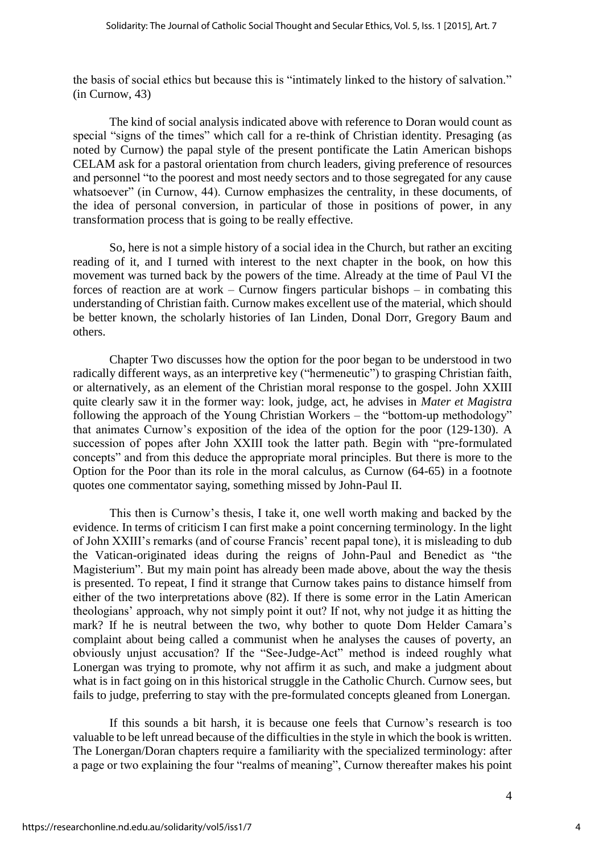the basis of social ethics but because this is "intimately linked to the history of salvation." (in Curnow, 43)

The kind of social analysis indicated above with reference to Doran would count as special "signs of the times" which call for a re-think of Christian identity. Presaging (as noted by Curnow) the papal style of the present pontificate the Latin American bishops CELAM ask for a pastoral orientation from church leaders, giving preference of resources and personnel "to the poorest and most needy sectors and to those segregated for any cause whatsoever" (in Curnow, 44). Curnow emphasizes the centrality, in these documents, of the idea of personal conversion, in particular of those in positions of power, in any transformation process that is going to be really effective.

So, here is not a simple history of a social idea in the Church, but rather an exciting reading of it, and I turned with interest to the next chapter in the book, on how this movement was turned back by the powers of the time. Already at the time of Paul VI the forces of reaction are at work – Curnow fingers particular bishops – in combating this understanding of Christian faith. Curnow makes excellent use of the material, which should be better known, the scholarly histories of Ian Linden, Donal Dorr, Gregory Baum and others.

Chapter Two discusses how the option for the poor began to be understood in two radically different ways, as an interpretive key ("hermeneutic") to grasping Christian faith, or alternatively, as an element of the Christian moral response to the gospel. John XXIII quite clearly saw it in the former way: look, judge, act, he advises in *Mater et Magistra* following the approach of the Young Christian Workers – the "bottom-up methodology" that animates Curnow's exposition of the idea of the option for the poor (129-130). A succession of popes after John XXIII took the latter path. Begin with "pre-formulated concepts" and from this deduce the appropriate moral principles. But there is more to the Option for the Poor than its role in the moral calculus, as Curnow (64-65) in a footnote quotes one commentator saying, something missed by John-Paul II.

This then is Curnow's thesis, I take it, one well worth making and backed by the evidence. In terms of criticism I can first make a point concerning terminology. In the light of John XXIII's remarks (and of course Francis' recent papal tone), it is misleading to dub the Vatican-originated ideas during the reigns of John-Paul and Benedict as "the Magisterium". But my main point has already been made above, about the way the thesis is presented. To repeat, I find it strange that Curnow takes pains to distance himself from either of the two interpretations above (82). If there is some error in the Latin American theologians' approach, why not simply point it out? If not, why not judge it as hitting the mark? If he is neutral between the two, why bother to quote Dom Helder Camara's complaint about being called a communist when he analyses the causes of poverty, an obviously unjust accusation? If the "See-Judge-Act" method is indeed roughly what Lonergan was trying to promote, why not affirm it as such, and make a judgment about what is in fact going on in this historical struggle in the Catholic Church. Curnow sees, but fails to judge, preferring to stay with the pre-formulated concepts gleaned from Lonergan.

If this sounds a bit harsh, it is because one feels that Curnow's research is too valuable to be left unread because of the difficulties in the style in which the book is written. The Lonergan/Doran chapters require a familiarity with the specialized terminology: after a page or two explaining the four "realms of meaning", Curnow thereafter makes his point